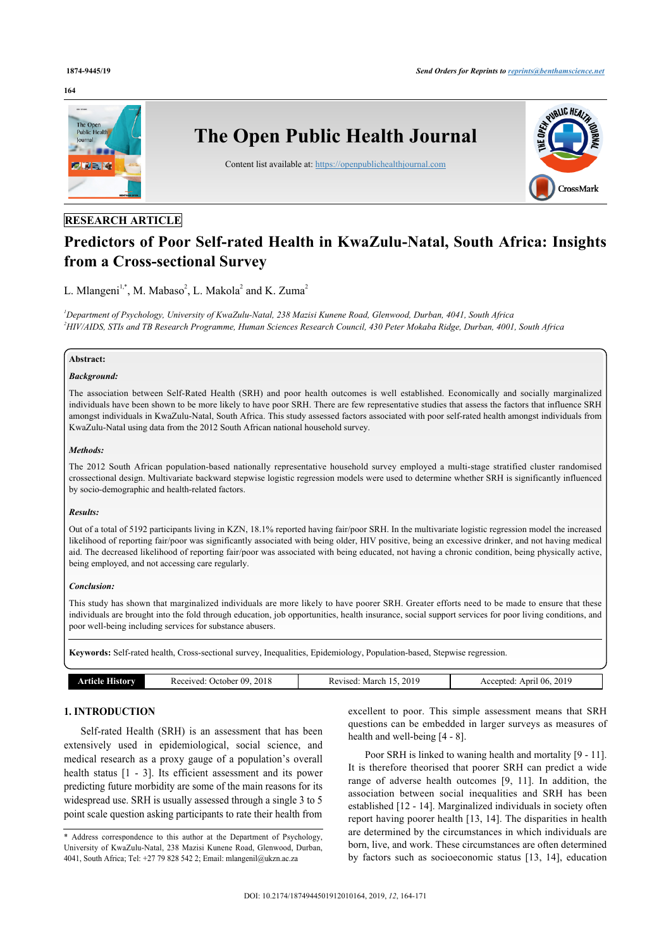#### **164**



# **RESEARCH ARTICLE**

# **Predictors of Poor Self-rated Health in KwaZulu-Natal, South Africa: Insights from a Cross-sectional Survey**

# L. Mlangeni<sup>[1](#page-0-0)[,\\*](#page-0-1)</sup>, M. Mabaso<sup>[2](#page-0-2)</sup>, L. Makola<sup>2</sup> and K. Zuma<sup>2</sup>

<span id="page-0-2"></span><span id="page-0-0"></span>*<sup>1</sup>Department of Psychology, University of KwaZulu-Natal, 238 Mazisi Kunene Road, Glenwood, Durban, 4041, South Africa <sup>2</sup>HIV/AIDS, STIs and TB Research Programme, Human Sciences Research Council, 430 Peter Mokaba Ridge, Durban, 4001, South Africa*

#### **Abstract:**

#### *Background:*

The association between Self-Rated Health (SRH) and poor health outcomes is well established. Economically and socially marginalized individuals have been shown to be more likely to have poor SRH. There are few representative studies that assess the factors that influence SRH amongst individuals in KwaZulu-Natal, South Africa. This study assessed factors associated with poor self-rated health amongst individuals from KwaZulu-Natal using data from the 2012 South African national household survey.

#### *Methods:*

The 2012 South African population-based nationally representative household survey employed a multi-stage stratified cluster randomised crossectional design. Multivariate backward stepwise logistic regression models were used to determine whether SRH is significantly influenced by socio-demographic and health-related factors.

#### *Results:*

Out of a total of 5192 participants living in KZN, 18.1% reported having fair/poor SRH. In the multivariate logistic regression model the increased likelihood of reporting fair/poor was significantly associated with being older, HIV positive, being an excessive drinker, and not having medical aid. The decreased likelihood of reporting fair/poor was associated with being educated, not having a chronic condition, being physically active, being employed, and not accessing care regularly.

#### *Conclusion:*

This study has shown that marginalized individuals are more likely to have poorer SRH. Greater efforts need to be made to ensure that these individuals are brought into the fold through education, job opportunities, health insurance, social support services for poor living conditions, and poor well-being including services for substance abusers.

**Keywords:** Self-rated health, Cross-sectional survey, Inequalities, Epidemiology, Population-based, Stepwise regression.

| amv<br>rncie | 2018<br>- 119<br>October.<br>Received: | 2019<br>March<br>Revised<br>nc | 2019<br>April 06.<br>Accepte |
|--------------|----------------------------------------|--------------------------------|------------------------------|

# **1. INTRODUCTION**

Self-rated Health (SRH) is an assessment that has been extensively used in epidemiological, social science, and medical research as a proxy gauge of a population's overall health status [\[1](#page-6-0) - [3](#page-6-1)]. Its efficient assessment and its power predicting future morbidity are some of the main reasons for its widespread use. SRH is usually assessed through a single 3 to 5 point scale question asking participants to rate their health from excellent to poor. This simple assessment means that SRH questions can be embedded in larger surveys as measures of health and well-being [\[4](#page-6-2) - [8\]](#page-6-3).

Poor SRH is linked to waning health and mortality [\[9](#page-6-4) - [11](#page-6-5)]. It is therefore theorised that poorer SRH can predict a wide range of adverse health outcomes[[9,](#page-6-4) [11\]](#page-6-5). In addition, the association between social inequalities and SRH has been established [[12](#page-6-6) - [14\]](#page-6-7). Marginalized individuals in society often report having poorer health [[13,](#page-6-8) [14](#page-6-7)]. The disparities in health are determined by the circumstances in which individuals are born, live, and work. These circumstances are often determined by factors such as socioeconomic status [\[13,](#page-6-8) [14\]](#page-6-7), education

<span id="page-0-1"></span><sup>\*</sup> Address correspondence to this author at the Department of Psychology, University of KwaZulu-Natal, 238 Mazisi Kunene Road, Glenwood, Durban, 4041, South Africa; Tel: +27 79 828 542 2; Email: [mlangenil@ukzn.ac.za](mailto:mlangenil@ukzn.ac.za)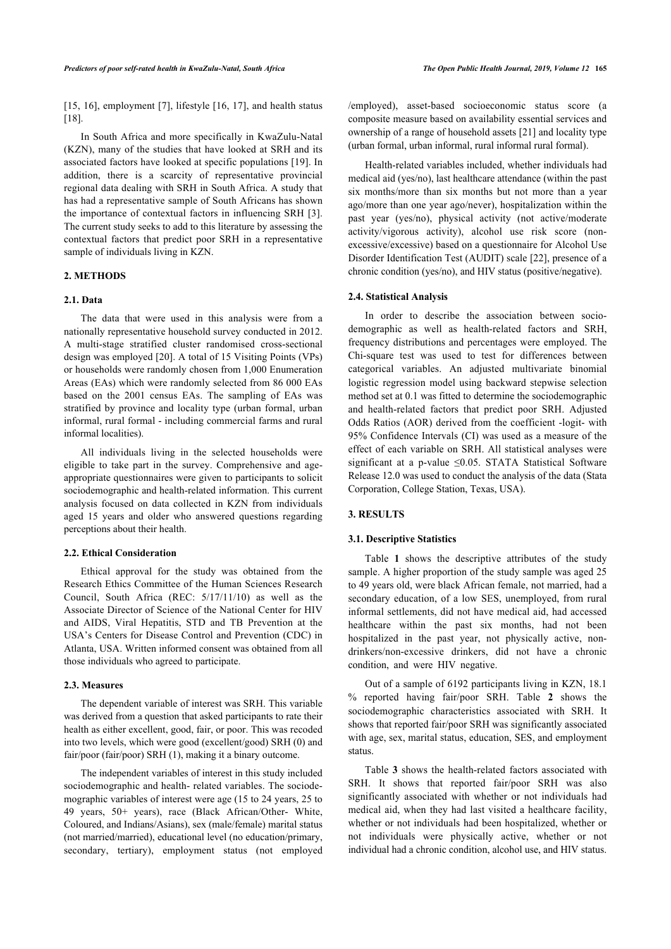[[15,](#page-6-9) [16](#page-6-10)], employment [\[7](#page-6-11)], lifestyle [[16](#page-6-10), [17\]](#page-6-12), and health status [[18\]](#page-6-13).

In South Africa and more specifically in KwaZulu-Natal (KZN), many of the studies that have looked at SRH and its associated factors have looked at specific populations [[19\]](#page-6-14). In addition, there is a scarcity of representative provincial regional data dealing with SRH in South Africa. A study that has had a representative sample of South Africans has shown the importance of contextual factors in influencing SRH [\[3\]](#page-6-1). The current study seeks to add to this literature by assessing the contextual factors that predict poor SRH in a representative sample of individuals living in KZN.

# **2. METHODS**

#### **2.1. Data**

The data that were used in this analysis were from a nationally representative household survey conducted in 2012. A multi-stage stratified cluster randomised cross-sectional design was employed [\[20](#page-6-15)]. A total of 15 Visiting Points (VPs) or households were randomly chosen from 1,000 Enumeration Areas (EAs) which were randomly selected from 86 000 EAs based on the 2001 census EAs. The sampling of EAs was stratified by province and locality type (urban formal, urban informal, rural formal - including commercial farms and rural informal localities).

All individuals living in the selected households were eligible to take part in the survey. Comprehensive and ageappropriate questionnaires were given to participants to solicit sociodemographic and health-related information. This current analysis focused on data collected in KZN from individuals aged 15 years and older who answered questions regarding perceptions about their health.

#### **2.2. Ethical Consideration**

Ethical approval for the study was obtained from the Research Ethics Committee of the Human Sciences Research Council, South Africa (REC: 5/17/11/10) as well as the Associate Director of Science of the National Center for HIV and AIDS, Viral Hepatitis, STD and TB Prevention at the USA's Centers for Disease Control and Prevention (CDC) in Atlanta, USA. Written informed consent was obtained from all those individuals who agreed to participate.

#### **2.3. Measures**

The dependent variable of interest was SRH. This variable was derived from a question that asked participants to rate their health as either excellent, good, fair, or poor. This was recoded into two levels, which were good (excellent/good) SRH (0) and fair/poor (fair/poor) SRH (1), making it a binary outcome.

The independent variables of interest in this study included sociodemographic and health- related variables. The sociodemographic variables of interest were age (15 to 24 years, 25 to 49 years, 50+ years), race (Black African/Other- White, Coloured, and Indians/Asians), sex (male/female) marital status (not married/married), educational level (no education/primary, secondary, tertiary), employment status (not employed /employed), asset-based socioeconomic status score (a composite measure based on availability essential services and ownership of a range of household assets [[21\]](#page-6-16) and locality type (urban formal, urban informal, rural informal rural formal).

Health-related variables included, whether individuals had medical aid (yes/no), last healthcare attendance (within the past six months/more than six months but not more than a year ago/more than one year ago/never), hospitalization within the past year (yes/no), physical activity (not active/moderate activity/vigorous activity), alcohol use risk score (nonexcessive/excessive) based on a questionnaire for Alcohol Use Disorder Identification Test (AUDIT) scale [\[22](#page-6-17)], presence of a chronic condition (yes/no), and HIV status (positive/negative).

#### **2.4. Statistical Analysis**

In order to describe the association between sociodemographic as well as health-related factors and SRH, frequency distributions and percentages were employed. The Chi-square test was used to test for differences between categorical variables. An adjusted multivariate binomial logistic regression model using backward stepwise selection method set at 0.1 was fitted to determine the sociodemographic and health-related factors that predict poor SRH. Adjusted Odds Ratios (AOR) derived from the coefficient -logit- with 95% Confidence Intervals (CI) was used as a measure of the effect of each variable on SRH. All statistical analyses were significant at a p-value ≤0.05. STATA Statistical Software Release 12.0 was used to conduct the analysis of the data (Stata Corporation, College Station, Texas, USA).

#### **3. RESULTS**

#### **3.1. Descriptive Statistics**

Table**1** shows the descriptive attributes of the study sample. A higher proportion of the study sample was aged 25 to 49 years old, were black African female, not married, had a secondary education, of a low SES, unemployed, from rural informal settlements, did not have medical aid, had accessed healthcare within the past six months, had not been hospitalized in the past year, not physically active, nondrinkers/non-excessive drinkers, did not have a chronic condition, and were HIV negative.

Out of a sample of 6192 participants living in KZN, 18.1 % reported having fair/poor SRH. Table**2** shows the sociodemographic characteristics associated with SRH. It shows that reported fair/poor SRH was significantly associated with age, sex, marital status, education, SES, and employment status.

Table**3** shows the health-related factors associated with SRH. It shows that reported fair/poor SRH was also significantly associated with whether or not individuals had medical aid, when they had last visited a healthcare facility, whether or not individuals had been hospitalized, whether or not individuals were physically active, whether or not individual had a chronic condition, alcohol use, and HIV status.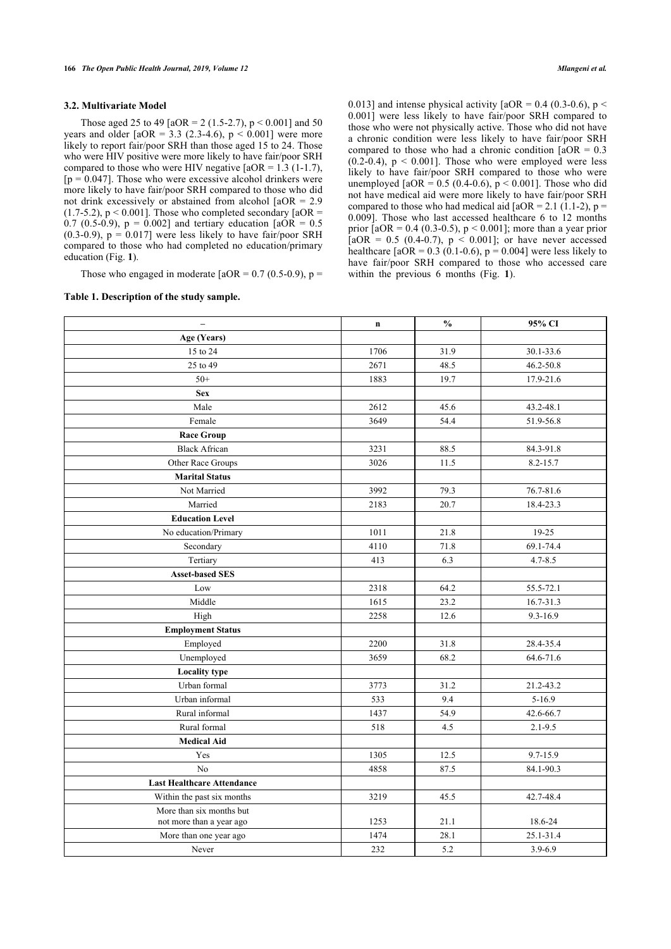#### **3.2. Multivariate Model**

Those aged 25 to 49 [aOR = 2 (1.5-2.7),  $p < 0.001$ ] and 50 years and older  $[aOR = 3.3 (2.3-4.6), p < 0.001]$  were more likely to report fair/poor SRH than those aged 15 to 24. Those who were HIV positive were more likely to have fair/poor SRH compared to those who were HIV negative  $[140R = 1.3 (1-1.7)]$ ,  $[p = 0.047]$ . Those who were excessive alcohol drinkers were more likely to have fair/poor SRH compared to those who did not drink excessively or abstained from alcohol [aOR = 2.9  $(1.7-5.2)$ , p < 0.001]. Those who completed secondary  $[aOR =$ 0.7 (0.5-0.9),  $p = 0.002$ ] and tertiary education [aOR = 0.5  $(0.3-0.9)$ ,  $p = 0.017$ ] were less likely to have fair/poor SRH compared to those who had completed no education/primary education (Fig. **[1](#page-4-1)**).

Those who engaged in moderate  $[aOR = 0.7 (0.5-0.9), p =$ 

#### <span id="page-2-0"></span>**Table 1. Description of the study sample.**

0.013] and intense physical activity  $[aOR = 0.4 (0.3-0.6), p <$ 0.001] were less likely to have fair/poor SRH compared to those who were not physically active. Those who did not have a chronic condition were less likely to have fair/poor SRH compared to those who had a chronic condition  $[aOR = 0.3]$  $(0.2-0.4)$ ,  $p < 0.001$ ]. Those who were employed were less likely to have fair/poor SRH compared to those who were unemployed  $[4OR = 0.5 (0.4-0.6), p < 0.001]$ . Those who did not have medical aid were more likely to have fair/poor SRH compared to those who had medical aid  $[aOR = 2.1 (1.1-2), p =$ 0.009]. Those who last accessed healthcare 6 to 12 months prior  $[aOR = 0.4 (0.3-0.5), p < 0.001]$ ; more than a year prior  $[aOR = 0.5 (0.4-0.7), p < 0.001]$ ; or have never accessed healthcare  $[4OR = 0.3 (0.1 - 0.6), p = 0.004]$  were less likely to have fair/poor SRH compared to those who accessed care within the previous 6 months (Fig.**1**).

| $\qquad \qquad -$                 | $\mathbf n$ | $\frac{0}{0}$ | 95% CI      |
|-----------------------------------|-------------|---------------|-------------|
| Age (Years)                       |             |               |             |
| 15 to 24                          | 1706        | 31.9          | 30.1-33.6   |
| 25 to 49                          | 2671        | 48.5          | 46.2-50.8   |
| $50+$                             | 1883        | 19.7          | 17.9-21.6   |
| <b>Sex</b>                        |             |               |             |
| Male                              | 2612        | 45.6          | 43.2-48.1   |
| Female                            | 3649        | 54.4          | 51.9-56.8   |
| <b>Race Group</b>                 |             |               |             |
| <b>Black African</b>              | 3231        | 88.5          | 84.3-91.8   |
| Other Race Groups                 | 3026        | 11.5          | 8.2-15.7    |
| <b>Marital Status</b>             |             |               |             |
| Not Married                       | 3992        | 79.3          | 76.7-81.6   |
| Married                           | 2183        | 20.7          | 18.4-23.3   |
| <b>Education Level</b>            |             |               |             |
| No education/Primary              | 1011        | 21.8          | 19-25       |
| Secondary                         | 4110        | 71.8          | 69.1-74.4   |
| Tertiary                          | 413         | 6.3           | $4.7 - 8.5$ |
| <b>Asset-based SES</b>            |             |               |             |
| Low                               | 2318        | 64.2          | 55.5-72.1   |
| Middle                            | 1615        | 23.2          | 16.7-31.3   |
| High                              | 2258        | 12.6          | 9.3-16.9    |
| <b>Employment Status</b>          |             |               |             |
| Employed                          | 2200        | 31.8          | 28.4-35.4   |
| Unemployed                        | 3659        | 68.2          | 64.6-71.6   |
| <b>Locality type</b>              |             |               |             |
| Urban formal                      | 3773        | 31.2          | 21.2-43.2   |
| Urban informal                    | 533         | 9.4           | $5 - 16.9$  |
| Rural informal                    | 1437        | 54.9          | 42.6-66.7   |
| Rural formal                      | 518         | 4.5           | $2.1 - 9.5$ |
| <b>Medical Aid</b>                |             |               |             |
| Yes                               | 1305        | 12.5          | 9.7-15.9    |
| N <sub>o</sub>                    | 4858        | 87.5          | 84.1-90.3   |
| <b>Last Healthcare Attendance</b> |             |               |             |
| Within the past six months        | 3219        | 45.5          | 42.7-48.4   |
| More than six months but          |             |               |             |
| not more than a year ago          | 1253        | 21.1          | 18.6-24     |
| More than one year ago            | 1474        | 28.1          | 25.1-31.4   |
| Never                             | 232         | 5.2           | $3.9 - 6.9$ |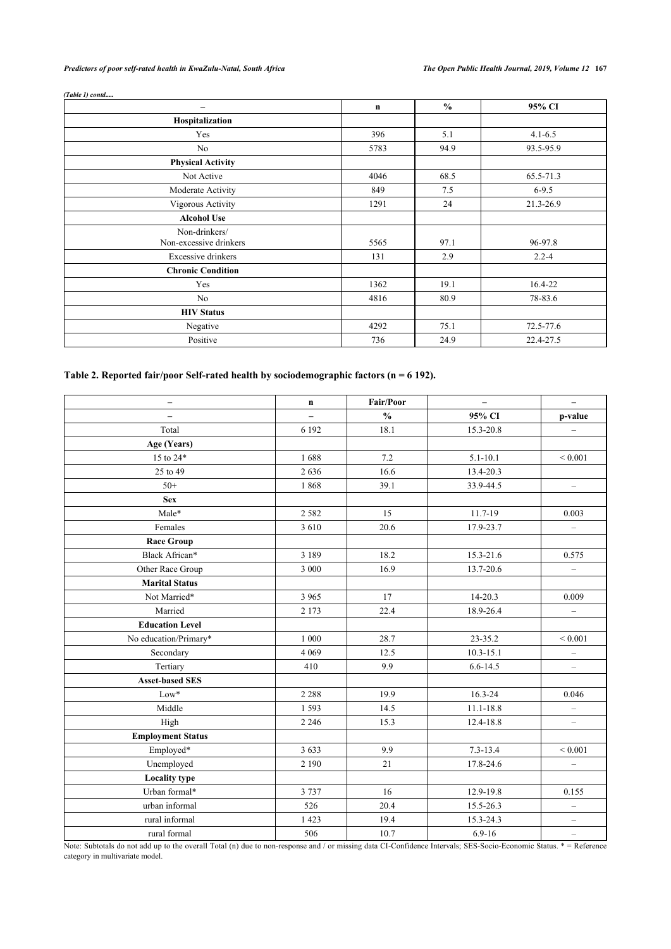*Predictors of poor self-rated health in KwaZulu-Natal, South Africa The Open Public Health Journal, 2019, Volume 12* **167**

| (Table 1) contd                         |      |               |             |
|-----------------------------------------|------|---------------|-------------|
| -                                       | n    | $\frac{0}{0}$ | 95% CI      |
| Hospitalization                         |      |               |             |
| Yes                                     | 396  | 5.1           | $4.1 - 6.5$ |
| No                                      | 5783 | 94.9          | 93.5-95.9   |
| <b>Physical Activity</b>                |      |               |             |
| Not Active                              | 4046 | 68.5          | 65.5-71.3   |
| Moderate Activity                       | 849  | 7.5           | $6 - 9.5$   |
| Vigorous Activity                       | 1291 | 24            | 21.3-26.9   |
| <b>Alcohol Use</b>                      |      |               |             |
| Non-drinkers/<br>Non-excessive drinkers | 5565 | 97.1          | 96-97.8     |
| Excessive drinkers                      | 131  | 2.9           | $2.2 - 4$   |
| <b>Chronic Condition</b>                |      |               |             |
| Yes                                     | 1362 | 19.1          | 16.4-22     |
| No                                      | 4816 | 80.9          | 78-83.6     |
| <b>HIV Status</b>                       |      |               |             |
| Negative                                | 4292 | 75.1          | 72.5-77.6   |
| Positive                                | 736  | 24.9          | 22.4-27.5   |

# <span id="page-3-0"></span>**Table 2. Reported fair/poor Self-rated health by sociodemographic factors (n = 6 192).**

| $\qquad \qquad -$        | $\mathbf n$ | Fair/Poor     | $\equiv$      | $\equiv$                 |
|--------------------------|-------------|---------------|---------------|--------------------------|
| $\overline{\phantom{0}}$ | -           | $\frac{0}{0}$ | 95% CI        | p-value                  |
| Total                    | 6 1 9 2     | 18.1          | 15.3-20.8     | $\qquad \qquad -$        |
| Age (Years)              |             |               |               |                          |
| 15 to 24*                | 1688        | 7.2           | $5.1 - 10.1$  | ${}< 0.001$              |
| 25 to 49                 | 2636        | 16.6          | 13.4-20.3     |                          |
| $50+$                    | 1868        | 39.1          | 33.9-44.5     | $\equiv$                 |
| <b>Sex</b>               |             |               |               |                          |
| Male*                    | 2 5 8 2     | 15            | 11.7-19       | 0.003                    |
| Females                  | 3610        | 20.6          | 17.9-23.7     | $\equiv$                 |
| <b>Race Group</b>        |             |               |               |                          |
| Black African*           | 3 1 8 9     | 18.2          | 15.3-21.6     | 0.575                    |
| Other Race Group         | 3 000       | 16.9          | 13.7-20.6     | $\equiv$                 |
| <b>Marital Status</b>    |             |               |               |                          |
| Not Married*             | 3 9 6 5     | 17            | 14-20.3       | 0.009                    |
| Married                  | 2 1 7 3     | 22.4          | 18.9-26.4     | $\equiv$                 |
| <b>Education Level</b>   |             |               |               |                          |
| No education/Primary*    | 1 000       | 28.7          | 23-35.2       | ${}< 0.001$              |
| Secondary                | 4 0 6 9     | 12.5          | $10.3 - 15.1$ | $\qquad \qquad -$        |
| Tertiary                 | 410         | 9.9           | $6.6 - 14.5$  | $\qquad \qquad -$        |
| <b>Asset-based SES</b>   |             |               |               |                          |
| $Low*$                   | 2 2 8 8     | 19.9          | 16.3-24       | 0.046                    |
| Middle                   | 1593        | 14.5          | $11.1 - 18.8$ | $\overline{\phantom{0}}$ |
| High                     | 2 2 4 6     | 15.3          | 12.4-18.8     | $\qquad \qquad -$        |
| <b>Employment Status</b> |             |               |               |                          |
| Employed*                | 3 6 3 3     | 9.9           | $7.3 - 13.4$  | ${}< 0.001$              |
| Unemployed               | 2 1 9 0     | 21            | 17.8-24.6     | $\qquad \qquad -$        |
| <b>Locality type</b>     |             |               |               |                          |
| Urban formal*            | 3737        | 16            | 12.9-19.8     | 0.155                    |
| urban informal           | 526         | 20.4          | 15.5-26.3     | $\qquad \qquad -$        |
| rural informal           | 1 4 2 3     | 19.4          | 15.3-24.3     | $\qquad \qquad -$        |
| rural formal             | 506         | 10.7          | $6.9 - 16$    | $\overline{\phantom{m}}$ |

Note: Subtotals do not add up to the overall Total (n) due to non-response and / or missing data CI-Confidence Intervals; SES-Socio-Economic Status. \* = Reference category in multivariate model.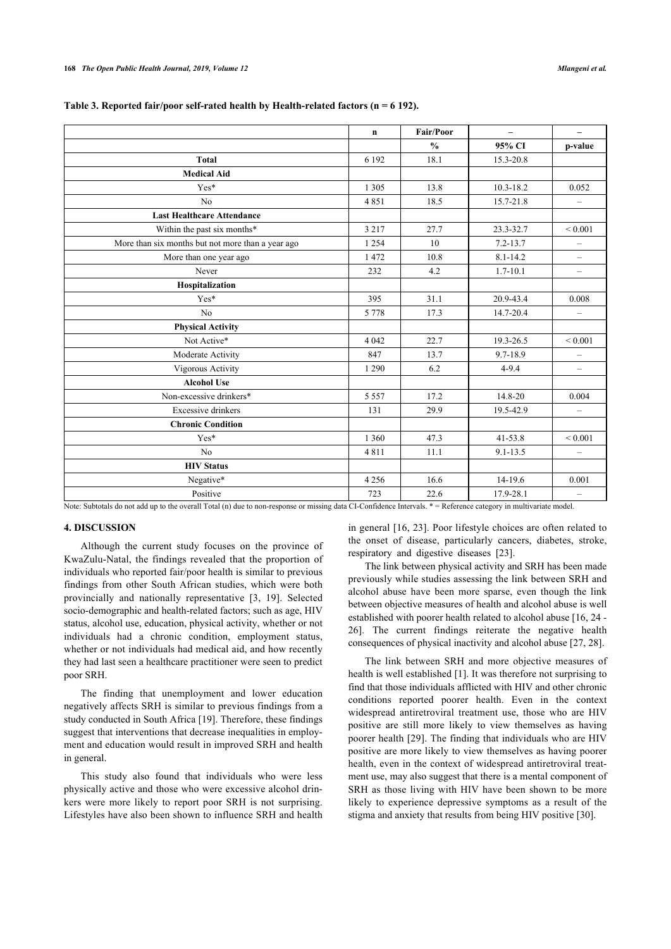|                                                   | $\mathbf n$ | <b>Fair/Poor</b> | $\overline{\phantom{0}}$ | $\overline{\phantom{0}}$ |
|---------------------------------------------------|-------------|------------------|--------------------------|--------------------------|
|                                                   |             | $\frac{0}{0}$    | 95% CI                   | p-value                  |
| <b>Total</b>                                      | 6 1 9 2     | 18.1             | 15.3-20.8                |                          |
| <b>Medical Aid</b>                                |             |                  |                          |                          |
| $Yes*$                                            | 1 3 0 5     | 13.8             | $10.3 - 18.2$            | 0.052                    |
| N <sub>o</sub>                                    | 4851        | 18.5             | 15.7-21.8                | $\overline{\phantom{0}}$ |
| <b>Last Healthcare Attendance</b>                 |             |                  |                          |                          |
| Within the past six months*                       | 3 2 1 7     | 27.7             | 23.3-32.7                | ${}_{0.001}$             |
| More than six months but not more than a year ago | 1 2 5 4     | 10               | $7.2 - 13.7$             | $\qquad \qquad -$        |
| More than one year ago                            | 1472        | 10.8             | $8.1 - 14.2$             | $\overline{\phantom{0}}$ |
| Never                                             | 232         | 4.2              | $1.7 - 10.1$             | $\overline{\phantom{0}}$ |
| Hospitalization                                   |             |                  |                          |                          |
| $Yes*$                                            | 395         | 31.1             | 20.9-43.4                | 0.008                    |
| N <sub>o</sub>                                    | 5 7 7 8     | 17.3             | 14.7-20.4                | $\overline{\phantom{0}}$ |
| <b>Physical Activity</b>                          |             |                  |                          |                          |
| Not Active*                                       | 4 0 4 2     | 22.7             | 19.3-26.5                | ${}_{0.001}$             |
| Moderate Activity                                 | 847         | 13.7             | 9.7-18.9                 | $\qquad \qquad -$        |
| Vigorous Activity                                 | 1 2 9 0     | 6.2              | $4 - 9.4$                | $\overline{\phantom{0}}$ |
| <b>Alcohol Use</b>                                |             |                  |                          |                          |
| Non-excessive drinkers*                           | 5 5 5 7     | 17.2             | 14.8-20                  | 0.004                    |
| <b>Excessive drinkers</b>                         | 131         | 29.9             | 19.5-42.9                | $\qquad \qquad -$        |
| <b>Chronic Condition</b>                          |             |                  |                          |                          |
| $Yes*$                                            | 1 3 6 0     | 47.3             | $41 - 53.8$              | ${}_{0.001}$             |
| N <sub>o</sub>                                    | 4811        | 11.1             | $9.1 - 13.5$             | $\qquad \qquad -$        |
| <b>HIV Status</b>                                 |             |                  |                          |                          |
| Negative*                                         | 4 2 5 6     | 16.6             | 14-19.6                  | 0.001                    |
| Positive                                          | 723         | 22.6             | 17.9-28.1                | $\qquad \qquad -$        |

# <span id="page-4-0"></span>**Table 3. Reported fair/poor self-rated health by Health-related factors (n = 6 192).**

Note: Subtotals do not add up to the overall Total (n) due to non-response or missing data CI-Confidence Intervals. \* = Reference category in multivariate model.

#### **4. DISCUSSION**

Although the current study focuses on the province of KwaZulu-Natal, the findings revealed that the proportion of individuals who reported fair/poor health is similar to previous findings from other South African studies, which were both provincially and nationally representative[[3](#page-6-1), [19](#page-6-14)]. Selected socio-demographic and health-related factors; such as age, HIV status, alcohol use, education, physical activity, whether or not individuals had a chronic condition, employment status, whether or not individuals had medical aid, and how recently they had last seen a healthcare practitioner were seen to predict poor SRH.

The finding that unemployment and lower education negatively affects SRH is similar to previous findings from a study conducted in South Africa [\[19](#page-6-14)]. Therefore, these findings suggest that interventions that decrease inequalities in employment and education would result in improved SRH and health in general.

<span id="page-4-1"></span>This study also found that individuals who were less physically active and those who were excessive alcohol drinkers were more likely to report poor SRH is not surprising. Lifestyles have also been shown to influence SRH and health in general [\[16](#page-6-10), [23\]](#page-6-18). Poor lifestyle choices are often related to the onset of disease, particularly cancers, diabetes, stroke, respiratory and digestive diseases[[23\]](#page-6-18).

The link between physical activity and SRH has been made previously while studies assessing the link between SRH and alcohol abuse have been more sparse, even though the link between objective measures of health and alcohol abuse is well established with poorer health related to alcohol abuse [[16,](#page-6-10) [24](#page-6-19) - [26](#page-6-20)]. The current findings reiterate the negative health consequences of physical inactivity and alcohol abuse [[27,](#page-6-21) [28](#page-6-22)].

The link between SRH and more objective measures of health is well established [\[1\]](#page-6-0). It was therefore not surprising to find that those individuals afflicted with HIV and other chronic conditions reported poorer health. Even in the context widespread antiretroviral treatment use, those who are HIV positive are still more likely to view themselves as having poorer health [[29\]](#page-6-23). The finding that individuals who are HIV positive are more likely to view themselves as having poorer health, even in the context of widespread antiretroviral treatment use, may also suggest that there is a mental component of SRH as those living with HIV have been shown to be more likely to experience depressive symptoms as a result of the stigma and anxiety that results from being HIV positive [[30\]](#page-6-24).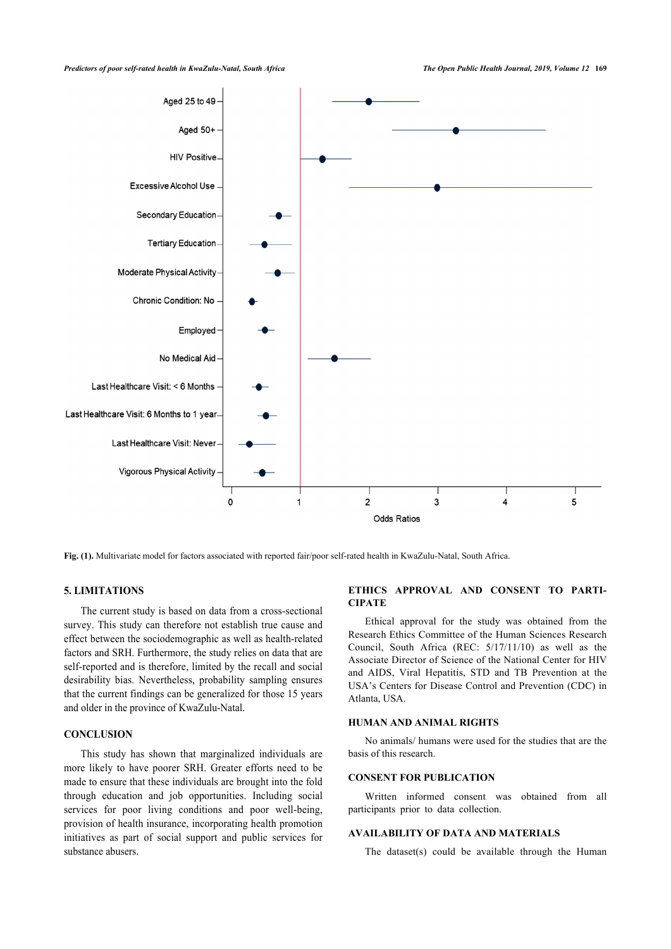

**Fig. (1).** Multivariate model for factors associated with reported fair/poor self-rated health in KwaZulu-Natal, South Africa.

#### **5. LIMITATIONS**

The current study is based on data from a cross-sectional survey. This study can therefore not establish true cause and effect between the sociodemographic as well as health-related factors and SRH. Furthermore, the study relies on data that are self-reported and is therefore, limited by the recall and social desirability bias. Nevertheless, probability sampling ensures that the current findings can be generalized for those 15 years and older in the province of KwaZulu-Natal.

# **CONCLUSION**

This study has shown that marginalized individuals are more likely to have poorer SRH. Greater efforts need to be made to ensure that these individuals are brought into the fold through education and job opportunities. Including social services for poor living conditions and poor well-being, provision of health insurance, incorporating health promotion initiatives as part of social support and public services for substance abusers.

#### **ETHICS APPROVAL AND CONSENT TO PARTI-CIPATE**

Ethical approval for the study was obtained from the Research Ethics Committee of the Human Sciences Research Council, South Africa (REC: 5/17/11/10) as well as the Associate Director of Science of the National Center for HIV and AIDS, Viral Hepatitis, STD and TB Prevention at the USA's Centers for Disease Control and Prevention (CDC) in Atlanta, USA.

#### **HUMAN AND ANIMAL RIGHTS**

No animals/ humans were used for the studies that are the basis of this research.

#### **CONSENT FOR PUBLICATION**

Written informed consent was obtained from all participants prior to data collection.

## **AVAILABILITY OF DATA AND MATERIALS**

The dataset(s) could be available through the Human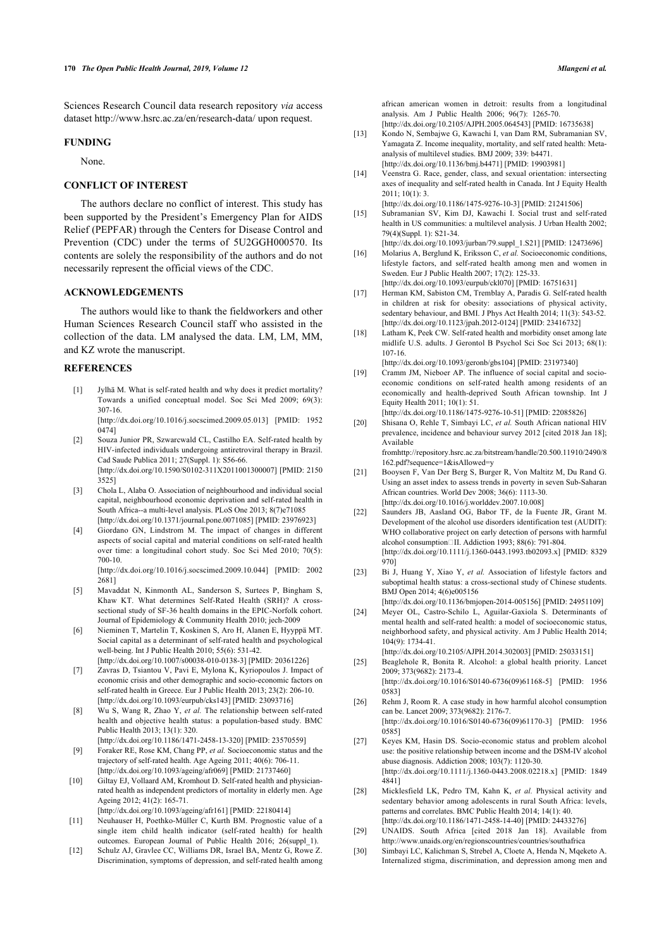Sciences Research Council data research repository *via* access dataset <http://www.hsrc.ac.za/en/research-data/>upon request.

#### <span id="page-6-8"></span>**FUNDING**

None.

# <span id="page-6-7"></span>**CONFLICT OF INTEREST**

<span id="page-6-9"></span>The authors declare no conflict of interest. This study has been supported by the President's Emergency Plan for AIDS Relief (PEPFAR) through the Centers for Disease Control and Prevention (CDC) under the terms of 5U2GGH000570. Its contents are solely the responsibility of the authors and do not necessarily represent the official views of the CDC.

### <span id="page-6-12"></span><span id="page-6-10"></span>**ACKNOWLEDGEMENTS**

<span id="page-6-13"></span>The authors would like to thank the fieldworkers and other Human Sciences Research Council staff who assisted in the collection of the data. LM analysed the data. LM, LM, MM, and KZ wrote the manuscript.

#### <span id="page-6-14"></span><span id="page-6-0"></span>**REFERENCES**

- [1] Jylhä M. What is self-rated health and why does it predict mortality? Towards a unified conceptual model. Soc Sci Med 2009; 69(3): 307-16. [\[http://dx.doi.org/10.1016/j.socscimed.2009.05.013\]](http://dx.doi.org/10.1016/j.socscimed.2009.05.013) [PMID: [1952](http://www.ncbi.nlm.nih.gov/pubmed/1952%200474) [0474\]](http://www.ncbi.nlm.nih.gov/pubmed/1952%200474)
- <span id="page-6-15"></span>[2] Souza Junior PR, Szwarcwald CL, Castilho EA. Self-rated health by HIV-infected individuals undergoing antiretroviral therapy in Brazil. Cad Saude Publica 2011; 27(Suppl. 1): S56-66. [\[http://dx.doi.org/10.1590/S0102-311X2011001300007\]](http://dx.doi.org/10.1590/S0102-311X2011001300007) [PMID: [2150](http://www.ncbi.nlm.nih.gov/pubmed/2150%203525) [3525\]](http://www.ncbi.nlm.nih.gov/pubmed/2150%203525)
- <span id="page-6-16"></span><span id="page-6-1"></span>[3] Chola L, Alaba O. Association of neighbourhood and individual social capital, neighbourhood economic deprivation and self-rated health in South Africa--a multi-level analysis. PLoS One 2013; 8(7)e71085 [\[http://dx.doi.org/10.1371/journal.pone.0071085\]](http://dx.doi.org/10.1371/journal.pone.0071085) [PMID: [23976923](http://www.ncbi.nlm.nih.gov/pubmed/23976923)]
- <span id="page-6-17"></span><span id="page-6-2"></span>[4] Giordano GN, Lindstrom M. The impact of changes in different aspects of social capital and material conditions on self-rated health over time: a longitudinal cohort study. Soc Sci Med 2010; 70(5): 700-10.

[\[http://dx.doi.org/10.1016/j.socscimed.2009.10.044\]](http://dx.doi.org/10.1016/j.socscimed.2009.10.044) [PMID: [2002](http://www.ncbi.nlm.nih.gov/pubmed/2002%202681) [2681\]](http://www.ncbi.nlm.nih.gov/pubmed/2002%202681)

- <span id="page-6-18"></span>[5] Mavaddat N, Kinmonth AL, Sanderson S, Surtees P, Bingham S, Khaw KT. What determines Self-Rated Health (SRH)? A crosssectional study of SF-36 health domains in the EPIC-Norfolk cohort. Journal of Epidemiology & Community Health 2010; jech-2009
- <span id="page-6-19"></span>[6] Nieminen T, Martelin T, Koskinen S, Aro H, Alanen E, Hyyppä MT. Social capital as a determinant of self-rated health and psychological well-being. Int J Public Health 2010; 55(6): 531-42. [\[http://dx.doi.org/10.1007/s00038-010-0138-3](http://dx.doi.org/10.1007/s00038-010-0138-3)] [PMID: [20361226\]](http://www.ncbi.nlm.nih.gov/pubmed/20361226)
- <span id="page-6-11"></span>[7] Zavras D, Tsiantou V, Pavi E, Mylona K, Kyriopoulos J. Impact of economic crisis and other demographic and socio-economic factors on self-rated health in Greece. Eur J Public Health 2013; 23(2): 206-10. [\[http://dx.doi.org/10.1093/eurpub/cks143](http://dx.doi.org/10.1093/eurpub/cks143)] [PMID: [23093716\]](http://www.ncbi.nlm.nih.gov/pubmed/23093716)
- <span id="page-6-20"></span><span id="page-6-3"></span>[8] Wu S, Wang R, Zhao Y, *et al.* The relationship between self-rated health and objective health status: a population-based study. BMC Public Health 2013; 13(1): 320. [\[http://dx.doi.org/10.1186/1471-2458-13-320\]](http://dx.doi.org/10.1186/1471-2458-13-320) [PMID: [23570559](http://www.ncbi.nlm.nih.gov/pubmed/23570559)]
- <span id="page-6-21"></span><span id="page-6-4"></span>[9] Foraker RE, Rose KM, Chang PP, *et al.* Socioeconomic status and the trajectory of self-rated health. Age Ageing 2011; 40(6): 706-11. [\[http://dx.doi.org/10.1093/ageing/afr069](http://dx.doi.org/10.1093/ageing/afr069)] [PMID: [21737460\]](http://www.ncbi.nlm.nih.gov/pubmed/21737460)
- <span id="page-6-22"></span>[10] Giltay EJ, Vollaard AM, Kromhout D. Self-rated health and physicianrated health as independent predictors of mortality in elderly men. Age Ageing 2012; 41(2): 165-71.

<span id="page-6-5"></span>[\[http://dx.doi.org/10.1093/ageing/afr161](http://dx.doi.org/10.1093/ageing/afr161)] [PMID: [22180414\]](http://www.ncbi.nlm.nih.gov/pubmed/22180414) [11] Neuhauser H, Poethko-Müller C, Kurth BM, Prognostic value of a

- <span id="page-6-23"></span>single item child health indicator (self-rated health) for health outcomes. European Journal of Public Health 2016; 26(suppl\_1).
- <span id="page-6-24"></span><span id="page-6-6"></span>[12] Schulz AJ, Gravlee CC, Williams DR, Israel BA, Mentz G, Rowe Z. Discrimination, symptoms of depression, and self-rated health among

analysis. Am J Public Health 2006; 96(7): 1265-70. [\[http://dx.doi.org/10.2105/AJPH.2005.064543\]](http://dx.doi.org/10.2105/AJPH.2005.064543) [PMID: [16735638](http://www.ncbi.nlm.nih.gov/pubmed/16735638)]

- [13] Kondo N, Sembajwe G, Kawachi I, van Dam RM, Subramanian SV, Yamagata Z. Income inequality, mortality, and self rated health: Metaanalysis of multilevel studies. BMJ 2009; 339: b4471. [\[http://dx.doi.org/10.1136/bmj.b4471\]](http://dx.doi.org/10.1136/bmj.b4471) [PMID: [19903981](http://www.ncbi.nlm.nih.gov/pubmed/19903981)]
- [14] Veenstra G. Race, gender, class, and sexual orientation: intersecting axes of inequality and self-rated health in Canada. Int J Equity Health 2011; 10(1): 3.

[\[http://dx.doi.org/10.1186/1475-9276-10-3\]](http://dx.doi.org/10.1186/1475-9276-10-3) [PMID: [21241506\]](http://www.ncbi.nlm.nih.gov/pubmed/21241506)

[15] Subramanian SV, Kim DJ, Kawachi I. Social trust and self-rated health in US communities: a multilevel analysis. J Urban Health 2002; 79(4)(Suppl. 1): S21-34.

[\[http://dx.doi.org/10.1093/jurban/79.suppl\\_1.S21\]](http://dx.doi.org/10.1093/jurban/79.suppl_1.S21) [PMID: [12473696](http://www.ncbi.nlm.nih.gov/pubmed/12473696)]

- [16] Molarius A, Berglund K, Eriksson C, *et al.* Socioeconomic conditions, lifestyle factors, and self-rated health among men and women in Sweden. Eur J Public Health 2007; 17(2): 125-33. [\[http://dx.doi.org/10.1093/eurpub/ckl070\]](http://dx.doi.org/10.1093/eurpub/ckl070) [PMID: [16751631\]](http://www.ncbi.nlm.nih.gov/pubmed/16751631)
- [17] Herman KM, Sabiston CM, Tremblay A, Paradis G. Self-rated health in children at risk for obesity: associations of physical activity, sedentary behaviour, and BMI. J Phys Act Health 2014; 11(3): 543-52. [\[http://dx.doi.org/10.1123/jpah.2012-0124\]](http://dx.doi.org/10.1123/jpah.2012-0124) [PMID: [23416732](http://www.ncbi.nlm.nih.gov/pubmed/23416732)]
- [18] Latham K, Peek CW, Self-rated health and morbidity onset among late midlife U.S. adults. J Gerontol B Psychol Sci Soc Sci 2013; 68(1): 107-16.

[\[http://dx.doi.org/10.1093/geronb/gbs104](http://dx.doi.org/10.1093/geronb/gbs104)] [PMID: [23197340\]](http://www.ncbi.nlm.nih.gov/pubmed/23197340)

[19] Cramm JM, Nieboer AP. The influence of social capital and socioeconomic conditions on self-rated health among residents of an economically and health-deprived South African township. Int J Equity Health 2011; 10(1): 51.

[\[http://dx.doi.org/10.1186/1475-9276-10-51](http://dx.doi.org/10.1186/1475-9276-10-51)] [PMID: [22085826](http://www.ncbi.nlm.nih.gov/pubmed/22085826)]

[20] Shisana O, Rehle T, Simbayi LC, *et al.* South African national HIV prevalence, incidence and behaviour survey 2012 [cited 2018 Jan 18]; Available from[http://repository.hsrc.ac.za/bitstream/handle/20.500.11910/2490/8](http://repository.hsrc.ac.za/bitstream/handle/20.500.11910/2490/8162.pdf?sequence=1&isAllowed=y)

[162.pdf?sequence=1&isAllowed=y](http://repository.hsrc.ac.za/bitstream/handle/20.500.11910/2490/8162.pdf?sequence=1&isAllowed=y)

- [21] Booysen F, Van Der Berg S, Burger R, Von Maltitz M, Du Rand G. Using an asset index to assess trends in poverty in seven Sub-Saharan African countries. World Dev 2008; 36(6): 1113-30. [\[http://dx.doi.org/10.1016/j.worlddev.2007.10.008](http://dx.doi.org/10.1016/j.worlddev.2007.10.008)]
- [22] Saunders JB, Aasland OG, Babor TF, de la Fuente JR, Grant M. Development of the alcohol use disorders identification test (AUDIT): WHO collaborative project on early detection of persons with harmful alcohol consumption III. Addiction 1993; 88(6): 791-804. [\[http://dx.doi.org/10.1111/j.1360-0443.1993.tb02093.x](http://dx.doi.org/10.1111/j.1360-0443.1993.tb02093.x)] [PMID: [8329](http://www.ncbi.nlm.nih.gov/pubmed/8329%20970)  $9701$  $9701$
- [23] Bi J, Huang Y, Xiao Y, *et al.* Association of lifestyle factors and suboptimal health status: a cross-sectional study of Chinese students. BMJ Open 2014; 4(6)e005156

[\[http://dx.doi.org/10.1136/bmjopen-2014-005156\]](http://dx.doi.org/10.1136/bmjopen-2014-005156) [PMID: [24951109](http://www.ncbi.nlm.nih.gov/pubmed/24951109)]

- [24] Meyer OL, Castro-Schilo L, Aguilar-Gaxiola S. Determinants of mental health and self-rated health: a model of socioeconomic status, neighborhood safety, and physical activity. Am J Public Health 2014; 104(9): 1734-41.
- [\[http://dx.doi.org/10.2105/AJPH.2014.302003\]](http://dx.doi.org/10.2105/AJPH.2014.302003) [PMID: [25033151](http://www.ncbi.nlm.nih.gov/pubmed/25033151)] [25] Beaglehole R, Bonita R. Alcohol: a global health priority. Lancet

2009; 373(9682): 2173-4. [\[http://dx.doi.org/10.1016/S0140-6736\(09\)61168-5](http://dx.doi.org/10.1016/S0140-6736(09)61168-5)] [PMID: [1956](http://www.ncbi.nlm.nih.gov/pubmed/1956%200583) [0583\]](http://www.ncbi.nlm.nih.gov/pubmed/1956%200583)

- [26] Rehm J, Room R. A case study in how harmful alcohol consumption can be. Lancet 2009; 373(9682): 2176-7. [\[http://dx.doi.org/10.1016/S0140-6736\(09\)61170-3](http://dx.doi.org/10.1016/S0140-6736(09)61170-3)] [PMID: [1956](http://www.ncbi.nlm.nih.gov/pubmed/1956%200585) [0585\]](http://www.ncbi.nlm.nih.gov/pubmed/1956%200585)
- [27] Keyes KM, Hasin DS. Socio-economic status and problem alcohol use: the positive relationship between income and the DSM-IV alcohol abuse diagnosis. Addiction 2008; 103(7): 1120-30. [\[http://dx.doi.org/10.1111/j.1360-0443.2008.02218.x](http://dx.doi.org/10.1111/j.1360-0443.2008.02218.x)] [PMID: [1849](http://www.ncbi.nlm.nih.gov/pubmed/1849%204841) [4841\]](http://www.ncbi.nlm.nih.gov/pubmed/1849%204841)
- [28] Micklesfield LK, Pedro TM, Kahn K, et al. Physical activity and sedentary behavior among adolescents in rural South Africa: levels, patterns and correlates. BMC Public Health 2014; 14(1): 40. [\[http://dx.doi.org/10.1186/1471-2458-14-40](http://dx.doi.org/10.1186/1471-2458-14-40)] [PMID: [24433276](http://www.ncbi.nlm.nih.gov/pubmed/24433276)]
- [29] UNAIDS. South Africa [cited 2018 Jan 18]. Available from <http://www.unaids.org/en/regionscountries/countries/southafrica>
- [30] Simbayi LC, Kalichman S, Strebel A, Cloete A, Henda N, Mqeketo A. Internalized stigma, discrimination, and depression among men and